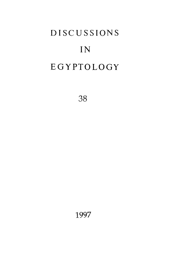# **DISCUSSIONS** IN **EGYPTOLOGY**

38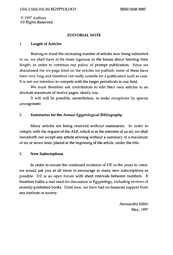**© 1997 Authors All Rights Reserved** 

#### **EDITORIAL NOTE**

#### **1. Length of Articles**

**Bearing in mind the increasing number of articles now being submitted to us, we shall have to be more rigorous in the future about limiting their length, in order to continue our policy of prompt publication. Since we abandoned the six-page limit on the articles we publish, some of these have been very long and therefore not really suitable for a publication such as ours. It is not our intention to compete with the larger periodicals in our field.** 

**We must therefore ask contributors to edit their own articles to an absolute maximum of twelve pages, ideally less.** 

**It will still be possible, nevertheless, to make exceptions by special arrangement** 

## **2. Summaries for the** *Annual Egyptological Bibliography*

**Many articles are being received without summaries. In order to comply with the request of the ЛЕВ, which is in the interests of us all, we shall henceforth not accept any article arriving without a summary of a maximum of six or seven lines, placed at the beginning of the article, under the title.** 

## **3. New Subscriptions**

**In order to ensure the continued existence of DE in the years to come, we would ask you at all times to encourage as many new subscriptions as possible. DE is an open forum with short intervals between numbers. It therefore fulfils a real need for discussion in Egyptology, including reviews of recently-published books. Until now, we have had no financial support from any institute or society.** 

> **Alessandra Nibbi May, 1997**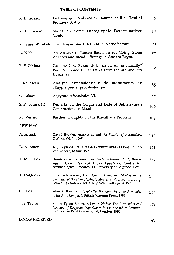## **TABLE OF CONTENTS**

| R. B. Gozzoli   | La Campagna Nubiana di Psammetico II e i Testi di<br>Frontiera Saitici.                                                                                                      | 5   |
|-----------------|------------------------------------------------------------------------------------------------------------------------------------------------------------------------------|-----|
| M. I. Hussein   | Notes on Some Hieroglyphic Determinatives<br>(contd.).                                                                                                                       | 17  |
|                 | K. Jansen-Winkeln Der Majordomus des Amun Anchefenmut.                                                                                                                       | 29  |
| A. Nibbi        | An Answer to Lucien Basch on Sea-Going, Stone<br>Anchors and Bread Offerings in Ancient Egypt.                                                                               | 37  |
| P. F. O'Mara    | Can the Giza Pyramids be dated Astronomically?<br>Part IV. Some Lunar Dates from the 4th and 5th<br>Dynasties.                                                               | 63  |
| J. Rousseau     | Analyse dimensionnelle de<br>de<br>monuments<br>l'Egypte pré- et protohistorique.                                                                                            | 83  |
| G. Takács       | Aegyptio-Afroasiatica VI.                                                                                                                                                    | 97  |
| S. P. Tutundžić | Remarks on the Origin and Date of Subterranean<br>Constructions at Maadi.                                                                                                    | 103 |
| M. Verner       | Further Thoughts on the Khentkaus Problem.                                                                                                                                   | 109 |
| <b>REVIEWS</b>  |                                                                                                                                                                              |     |
| A. Alcock       | David Brakke, Athanasius and the Politics of Asceticism,<br>Oxford, OUP, 1995.                                                                                               | 119 |
| D. A. Aston     | K. J. Seyfried, Das Grab des Djehutiemhab (TT194) Philipp<br>von Zabern, Mainz, 1995.                                                                                        | 121 |
| K. M. Cialowicz | Branislav Andelkovic, The Relations between Early Bronze<br>Age I Canaanites and Upper Egyptians, Centre for<br>Archaeological Research, 14, University of Belgrade, 1995.   | 125 |
| T. DuQuesne     | Orly Goldwasser, From Icon to Metaphor. Studies in the<br>Semiotics of the Hieroglyphs, Universitäts-Verlag, Freiburg,<br>Schweiz (Vandenhoeck & Ruprecht, Göttingen), 1995. | 129 |
| C. La'da        | Alan K. Bowman, Egypt after the Pharaohs: from Alexander<br>to the Arab Conquest, British Museum Press, 1996.                                                                | 135 |
| J. H. Taylor    | Stuart Tyson Smith, Askut in Nubia: The Economics and<br>Ideology of Egyptian Imperialism in the Second Millennium<br>B.C., Kegan Paul International, London, 1995.          | 139 |

**BOOKS RECEIVED**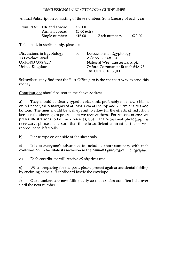#### DISCUSSIONS IN EGYPTOLOGY: GUIDELINES

Annual Subscription consisting of three numbers from January of each year.

| From 1997: UK and abroad: | -636.00     |               |        |
|---------------------------|-------------|---------------|--------|
| Airmail abroad:           | £5.00 extra |               |        |
| Single number.            | £15.00      | Back numbers: | £20.00 |

To be paid, in sterling only, please, to:

| Discussions in Egyptology | or | Discussions in Egyptology       |
|---------------------------|----|---------------------------------|
| 13 Lovelace Road          |    | $A/c$ no. 082 681 34            |
| OXFORD OX2 8LP            |    | National Westminster Bank plc   |
| United Kingdom            |    | Oxford Cornmarket Branch 542123 |
|                           |    | OXFORD OX1 3011                 |

Subscribers may find that the Post Office giro is the cheapest way to send this money.

Contributions should be sent to the above address.

a) They should be clearly typed in black ink, preferably on a new ribbon, on A4 paper, with margins of at least 3 cm at the top and 2.5 cm at sides and bottom. The lines should be well-spaced to allow for the effects of reduction because the sheets go to press just as we receive them. For reasons of cost, we prefer illustrations to be line drawings, but if the occasional photograph is necessary, please make sure that there is sufficient contrast so that it will reproduce satisfactorily.

b) Please type on one side of the sheet only.

c) It is to everyone's advantage to include a short summary with each contribution, to facilitate its inclusion in the *Annual Egyntological Bibliography.* 

d) Each contributor will receive 25 offprints free.

e) When preparing for the post, please protect against accidental folding by enclosing some stiff cardboard inside the envelope.

f) Our numbers are now filling early so that articles are often held over until the next number.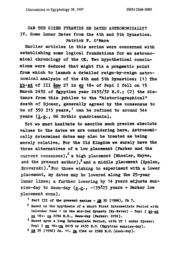CAN THE GIZEH PYRAMIDS BE DATED ASTRONOMICALLY? **IT. Some Lunar Dates from the 4th and 5th Dynasties. Patrick P. O'Mara** 

**Earlier articles in this series were concerned with establishing some logical foundations for an astronomical chronology of the OK. Two hypothetical conclusions were deduced that might fix a pragmatic point**  from which to launch a detailed reign-by-reign astro**nomical analysis of the 4th and 5th Dynastiesi (1) The**  hb.sd of III smw 27 in sp 18+ of Pepi I fell on 15 March 2432 of Egyptian year 2433/32 B.C.; (2) the dis**tance from this jubilee to the "historiographical" death of Djoser, generally agreed by the consensus to be of 350 ±15 years, <sup>1</sup> can be refined to around 344 years (i.e., 86 Sothic quadriennia) .** 

Yet we must hesitate to ascribe such precise absolute **values to the dates we are considering here. Astronomically determined dates may also be treated as being merely relative. Por the Old Kingdom we surely have the three alternatives of a low placement (Parker and the current consensus), a high placement (Wheeler, Hayes, and the present author), <sup>3</sup> and a middle placement (Spalen,**  Brovarski).<sup>4</sup> For those wishing to experiment with a lower **placement, my dates may be lowered along the 25-year lunar lines; a further lowering by 14 years adjusts Sun**rise-day to dawn-day  $(e.g., -139^{\frac{1}{2}}25 \text{ years} = \text{Parker low})$ **placement zone) .** 

- **<sup>1</sup> Fart III of the present series gE 35 (1996),** *fn* **7.**
- **<sup>2</sup> Based on the hyptheeis of a short First Intermediate Period with**  Calendar Year 1 in the mid-2nd Dynasty (Ny.Neter) - Pepi I hb.sd **ap 18+: ca 2294 B.C., dawn-day (Parker: 2292).**
- **' Based upon a long Intermediate Period, with 0T 1 under Djoser: Pepi I sp. 18+:ca 2419 or 2433 B.C. (Egyptian sunrise-day).**
- **4 DE 35 (1996) fn. 11. Ca 2344 or 2369 B.C. (dawn-day).**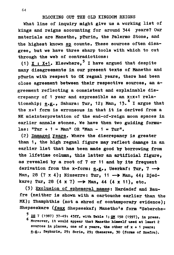#### **BLOCKING OUT THE OLD KINGDOM REIGNS**

**What line of inquiry might give us a working list of kings and reigns accounting for around 344 years? Our materials are Manetho, pTurin, the Palermo Stone, and**  the highest known sp counts. These sources often disa**gree, but we have three sharp tools with which to cut through the web of contradictions:** 

**(1) X : X+1***»* **Elsewhere,5 I have argued that despite many disagreements in our present texts of Manetho and pTurin with respect to OK regnal years, there had been close agreement between their respective sources, an agreement reflecting a consistent and explainable discrepancy of 1 year and expressible as an x:x+1 relationship; e.g., Sahura: Tur, 12; Man, 13.6 I argue that the x+1 form is erroneous in that it is derived from a NK misinterpretation of the end-of-reign moon spaces in earlier annals stones. We have then two guiding formu**lae:  $"Tur + 1 = Man" OR "Man - 1 = Tur".$ 

**(2) Damaged years. Where the discrepancy is greater than 1, the high regnal figure may reflect damage in an earlier list that has been made good by borrowing from the lifetime column, this latter an artificial figure, as revealed by a root of 7 or 11 and by its frequent derivation from the x-form: e.g., Userkaf: Tur, 7 — >**  Man, 28 (7 x 4); Niuserre: Tur, 11 -> Man, 44; Djed**karej Tur, 28 (4 x 7) — > Man, 44 (4 x 11), etc** 

(3) Exclusion of ephemeral names: Hardadef and Bau**fre (neither is shown with a cartouche earlier than the MK); Thamphthis (not a shred of contemporary evidence); Shepseskare (faux Shepseskaf; Manetho's form "Seberche-**

**<sup>5</sup> DE 7 (1987) 37** -49 1 43« , **with Table 1 ; GM 158 (1997), In proas. Moreover, it would appear that Manetho himself used at least 2 sources in places, one of x years, the other of x + 1 years; e.g., Sephuris, 29; Soris, 29; Cheneres, 30 (forms of Snefru).**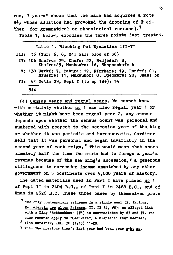**res, 7 years" shows that the name had acquired a rote**  Re: whose addition had provoked the dropping of F ei**ther for grammatical or phonological reasons).<sup>7</sup>**

**Table 1, below, embodies the three points just treated.** 

| Table 1. Blocking Out Dynasties III-VI                                                                     |
|------------------------------------------------------------------------------------------------------------|
| III: 36 (Tur: $6, 6, 24$ ; Pal: bloc of 36)                                                                |
| IV: 106 Snefru: 29. Khufu: 22, Radjedef: 8,<br>Khafre:25, Menkaure: 16, Shepseskaf: 6                      |
| V: 138 Usrkf: 7, Sahura: 12, Nfrrkare: 19, Ranfrf: 21,<br>Niusrre: 11, Mnkauhor: 8, Djedkare: 28, Unas: 32 |
| VI: 64 Teti: 29, Pepi I (to sp $18+$ ): 35                                                                 |
| 344                                                                                                        |
|                                                                                                            |

**(4) Census years and regnal years. We cannot know with certainty whether sp\_ 1 was also regnal year 1 or whether it might have been regnal year 2. Any answer depends upon whether the census count was personal and numbered with respect to the accession year of the, king or whether it was periodic and bureaucratic. Gardiner held that it was personal and began invariably in the second year of each reign.8 This would mean that approximately half the time the state had to forego a year's revenue because of the new king's accession,9 a generous willingness to surrender income unmatched by any other government on 5 continents over 5,000 years of history.** 

The dated materials used in Part I have placed sp 1 **of Pepi II in 2404 B.C., of Pepi I in 2468 B.C., and of Unas in 2528 B.C. These three cases by themselves prove** 

- **The only contemporary evidence ia a single seal (P. Kaplony, Rollslegeln des alten Reichea. II, PI 81, #6); an alleged link with a King "Sekhefflknau1\* (#5) is contradicted by #3 and #1. the same remarks apply to "Userkare", a misplaced faux Userkaf.**
- **<sup>8</sup> Alan Gardiner, JE4, 30 (1945) 11-28.**
- 9 When the previous king's last year had been year mobils ap.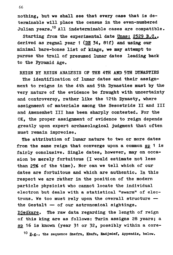**nothing, but we shall see that every case that is determinable will place the census in the even-numbered Julian years.<sup>1</sup> <sup>0</sup> All indeterminable cases are compatible.** 

**Starting from the experimental date Unas; 2529 B.C..**  derived as regnal year 1 (DE 34, 81f) and using our **minimal bare-bones list of kings, we may attempt to pursue the trail of presumed lunar dates leading back to the Pyramid Age.** 

**REIGN BY REIGN ANALYSIS OP THE 4TH AND 5TH DYNASTIES** 

**The identification of lunar dates and their assignment to reigns in the 4th and 5th Dynasties must by the very nature of the evidence be fraught with uncertainty and controversy, rather like the 12th Dynasty, where assignment of materials among the Sesostrids II and III and Amenemhet III has been sharply contested. For the OK, the proper assignment of evidence to reign depends greatly upon expert archaeological judgment that often must remain imprecise.** 

**The attribution of lunar nature to two or more dates from the same reign that converge upon a common sp\_ 1 is fairly conclusive. Single dates, however, may on occasion be merely fortuitous (I would estimate not less than 25?6 of the time). Nor can we tell which of our dates are fortuitous and which are authentic. In this respect we are rather in the position of the modern particle physicist who cannot locate the individual electron but deals with a statistical "swarm" of electrons. We too must rely upon the overall structure the Gestalt — of our astronomical sightings.** 

**D.ledkare. The raw data regarding the length of reign of this king are as follows: Turin assigns 28 years; a sp\_ 16 is known (year 31 or 32, possibly within a core-**

**<sup>1</sup> <sup>0</sup> £•£•• the sequence Snefru, Khufu, Hadjedef, Appendix, below.**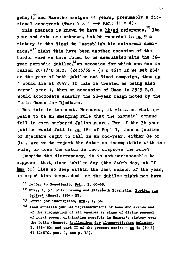gency)<sup>11</sup> and Manetho assigns 44 years, presumably a fictional construct (Tur:  $7 \times 4 \longrightarrow$  Man:  $11 \times 4$ ).

This pharaoh is known to have a hb'sd reference.<sup>12</sup> Its year and date are unknown, but he recorded in sp 9 a victory in the Sinai to "establish his universal dominion.<sup>*n*13</sup> Might this have been another occasion of the border wars we have found to be associated with the 36**box** year periodic jubiles<sup>14</sup> an occasion for which was due in Julian 2541/40 B.C. (2433/32 + (3 x 36)? If we set 2541 as the year of both jubilee and Sinai campaign, then sp 1 would lie at 2557. If this is treated as being also regnal year 1. then an accession of Unas in 2529 B.C. would accomodate exactly the 28-year reign noted by the **Turin Canon for Djedkare.** 

But this is too neat. Moreover, it violates what appears to be an emerging rule that the biennial census fell in even-numbered Julian years. For if the 36-year jubilee would fall in sp 18+ of Pepi I, then a jubilee of Djedkare ought to fall in an odd-year, either 8+ or 9+. Are we to reject the datum as incompatible with the rule, or does the datum in fact disprove the rule?

Despite the discrepancy, it is not unreasonable to suppose that, since jubilee day (the 240th day, at II **šmw 30)** lies so deep within the last season of the year. **smw 30) lies so deep within the last season of the year, an expedition despatched at the jubilee might not have** 

- **<sup>1</sup> <sup>1</sup> Letter to Senedjemib, Uric.. I, 60-63.**
- 12 Urk., I, 57; Erik Hornung and Elizabeth Staehelin, Studien zum **Sedfeat (Basel, 1964) 23.**
- 13 Louvre jar inscription, Urk., I, 56.
- **1 \* Kees stresses jubilee representations of bows and arrows and of the subjugation of all enemies as signs of divine renewal of royal power, originating possibly in Narmer's victory over the Delta (Bonnet, Reallexikon der altaegyptlsohen Religion. I, 158-160; and part II of the present series - DE 34 (1996) 67-82:67f. par. 2, and p. 72).**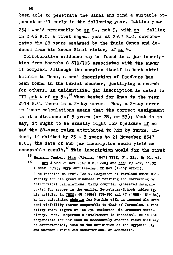**been able to penetrate the Sinai and find a suitable opponent until early in the following year. Jubilee year**  2541 would presumably be sp 8+, not 9, with sp 1 falling **in 2556 B.C. A first regnal year at 2557 B.C. corroborates the 28 years assigned by the Turin Canon and de**duced from his known Sinai victory of sp 9.

**Corroborative evidence may be found in a jar inscription from Mastaba S 679/705 associated with the Ruwer II complex. Although the complex itself is best attributable to Unas, a seal inscription of Djedkare has been found in the burial chamber, justifying a search for others. An unidentified jar inscription is dated to III prt 4 of sp\_ 5+.<sup>1</sup> <sup>5</sup> When tested for Unas in the year 2519 B.C. there is a 2-day error. Now, a 2-day error in lunar calculations means that the correct assignment is at a distance of 3 years (or 28, or 53) ; that is to say, it ought to be exactly right for Djedkare if he had the 28-year reign attributed to him by Turin. Indeed, if shifted by 2 5 + 3 years to 2 1 November 254 7 B.C., the date of our jar inscription would yield an acceptable result.16 This inscription would fix the first** 

**<sup>1</sup> <sup>5</sup> Hermann Junker, Qlza (Vienna, 1947) Till, 31, Fig. 8; PI.** T**1 .** 

**16 III prt 4 was 21 Nov 2547 B.C.; oonj and pad; 23 Nov, 11:02 (Index: 137), Egyp sunrise-day: 22 Nov (1-day error). I am indebted to Prof. Lee V. Casperson of Portland State University for hia great kindness in refining and correcting my astronomical calculations. Using computer generated data,adjusted for errors in the earlier Heugebauer/Schoch tables (v. his articles in JNES: 45 (1986) 139-150 and 47 (1988) 181-184), he has calculated psdntiw for Memphis with an assumed Old Cres**cent visibility factor comparable to that of Jerusalem. A visi**bility index figure of 100-250 indicates Old Crescent sufficiency. Prof. Casperson's involvement is technical. Be is not responsible for nor does he necessarily endorse views that may be controversial, such as the definition of the Egyptian day and whether Sirius was observational or schematic.**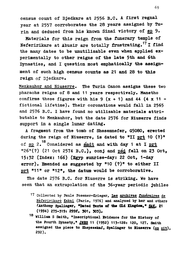**census count of Djedkare at 2556 B.C. A first regnal year at 2557 corroborates the 28 years assigned by Turin and deduced from his known Sinai victory of sp 9.** 

**Materials for this reign from the funerary temple of Neferirikare at Abusir are totally frustrating.<sup>1</sup> <sup>7</sup> I find the many dates to be unutilizable even when applied experimentally to other reigns of the late 5th and 6th Dynasties, and I question most emphatically the assign**ment of such high census counts as 21 and 28 to this **reign of Djedkare.** 

**Menkauhor and Niuserre. The Turin Canon assigns these two pharaohs reigns of 8 and 11 years respectively. Manetho**  confirms these figures with his  $9(x + 1)$  and  $44(x + 1)$  **fictional lifetime). Their coronations would fall in 2565 and 2576 B.C. I have found no utilizable materials attributable to Menkauhor, but the date 2576 for Niuserre finds support in a single lunar dating.** 

**A fragment from the tomb of Shesemnefer, G5080, erected during the reign of Niuserre, is dated to "11 prt 10 (?)"**  of sp 2.<sup>18</sup> Considered as smdt and with day 1 at I prt "26"(?) (21 Oct 2574 B.C.), conj and psd fell on 23 Oct, **15:32 (Index: 166) (Egyp sunrise-day: 22 Oct, 1-day** error). Emended as suggested by "10 (?)" to either II **error). Emended as suggested by <sup>n</sup> 1 0 (?)" to either II prt "11" or "12", the datum would be corroborative.** 

**The date 2576 B.C. for Niuserre is striking. We have seen that an extrapolation of the 36-year periodic jubilee** 

- 17 Collected by Paule Posener-Krieger, Les archives funeraires de **Neferirikare Kakai (Paris, 1976) and analyzed by her and others fAnthony Spalinger, "Dated Texts of the GCLd Kingdom," 3AI. 21 (1994) 275-319\* 299f, 301, 303)..**
- **<sup>1</sup> <sup>8</sup> William S Smith, "Inscriptlonal Evidence for the History of the Fourth Dynasty," JHB3 11 (1952) 113-128! 120, 127. Smith**  assigned the piece to Shepseskaf, Spalinger to Niuserre (op cit), **292).**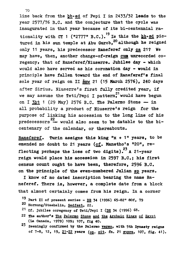**70** 

line back from the hb.sd of Pepi I in 2433/32 leads to the **year 2577/76 B.C. and the conjecture that the cycle was inaugurated in that year because of its bi-centennlal rationality with CT 1 ("2777" B.C.). <sup>1</sup> <sup>9</sup> Is this the Jib.sd pictured in his sun temple at Abu Gurob,<sup>2</sup> <sup>0</sup> although he reigned only 1 1 years, his predecessor Raneferef only ca 21 ? We may have, then, another change-of-reign cun unrecorded coregency, that of Raneferef/Niuserre. Jubilee day - which would also have served as his coronation day - would in**  principle have fallen toward the end of Raneferef's final **sole year of reign on II smw 2 1 (1 5 March 2576) , 24 0 days after Sirius. Niuserre's first fully credited year, if**  we may assume the Teti/Pepi I pattern<sup>21</sup> would have begun on I  $3ht$  1 (29 May) 2576 B.C. The Palermo Stone  $-$  in all probability a product of Niuserre's reign for the purpose of linking his accession to the long line of his  $p_{\text{m}}$  and  $p_{\text{m}}$   $\frac{22}{2}$  would also seem to be detable to the bicentenary of the calendar. or thereabouts.

Raneferef. Turin assigns this king "x + 1" years, to be **Raneferef. Turin assigns this king "x + 1 " years, to be emended no doubt to 2 1 years (cf. Manetho's "20" , re-**<sup>23</sup> **1** Perhaps the loss of two digits). <sup>23</sup> A 21-year **flext** reign would place his accession in 2597 B.C.; his first census count ought to have been, therefore, 2596 B.C. on the principle of the even-numbered Julian sp vears.

I know of no dated inscription bearing the name Raneferef. There is, however, a complete date from a block that almost certainly comes from his reign. In a corner

- **19 Part II of present series DE 34 (1996) 65-82" 80f, 79**
- 20 Hornung/Staehelin, Sedfest, 22.
- <sup>21</sup> Cf. jubilee coregency of Teti/Pepi I (DE 34 (1996) 68.
- 22 The author's The Palermo Stone and the Archaic Kings of Egypt (La Canada, 1979) 109; 107, fig 40.
- <sup>23</sup> Seemingly confirmed by the Palermo **verso**, with 5th Dynasty reigns **Seemingly confirmed by the Palermo verBO. with 5th Dynasty reigns of 7-8, 12, 19, 21-22 years (op., cit. fn. 21 supra, 107, fig. 41).**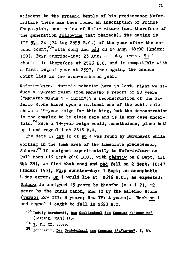**adjacent to the pyramid temple of hia predecessor Neferirikare there has been found an inscription of Prince ShepB'ptah, son-in-law of Neferirikare (and therefore of the generation following that pharaoh). The dating is III 3Jit 24 (24 Aug 2593 B.C.) of the year after the se**cond count,<sup>23a</sup> with conj and psd on 24 Aug, 18:00 (Index: **189), Egyp sunrise-day: 23 Aug, a 1-day error. Sp\_ 1 should lie therefore at 2596 B.C. and is compatible with a first regnal year at 2597. Once again, the census count lies in the even-numbered year.** 

**Neferirikare. Turin's notation here is lost. Might we deduce a 19-year reign from Manetho's report of 20 years ("Manetho minus 1 = Turin")? A reconstruction of the Palermo Stone based upon a rational use of the cubit rule shows a 19-year reign for this king, but the demonstration is too complex to be given here and is in any case uncer**tain.<sup>24</sup> Such a 19-year reign would, nonetheless, place both sp 1 and regnal 1 at 2616 B.C.

The date IV 3ht 12 of sp 4 was found by Borchardt while working in the tomb area of the immediate predecessor. **working in the tomb area of the immediate predecessor, Sahura.<sup>2</sup> <sup>5</sup> If assigned experimentally to Neferirikare as**  Full Moon (16 Sept 2610 B.C., with psdntiw on 2 Sept, III 3ht 29), we find that conj and pad fell on 2 Sept, 10:47 (Index: 153), Egyp sunrise-day: 1 Sept, an acceptable **1-day error. Sp\_ 1 would lie at 2616 B.O. , as expected! Sahura is assigned 13 years by Manetho (x + 1 7), 12 years by the Turin Canon, and 12 by the Palermo Stone (verso: Row III: 8 years; Row 17: 4 years). Both sp\_ 1 and regnal 1 ought to fall in 2628 B.C.** 

- **2 ' <sup>a</sup> Ludwig Borchardt, Baa Srabdenlcmal dee Koenlga Ne-uaer-re<sup>c</sup> (Leipzig, 1907) 145.**
- **<sup>2</sup> \* V. fn. 22, above.**
- **<sup>2</sup> <sup>5</sup> Borchardt, Das grabdenkmal des EoenigB 3'a5hn-rec. I, 89.**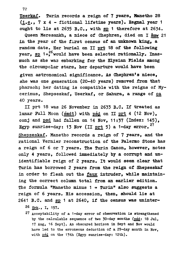**Userkaf. Turin records a reign of 7 years, Manetho 28 (i.e., 7 x 4 - fictional lifetime years). Regnal year 1 ought to lie at 2635 B.C., with sp\_ 1 therefore at 2634.** 

**Queen Meresankh, a niece of Chephren, died on I §mw 21**  in the year of the first census of an unknown king, a **random date. Her burial on II prt 18 of the following**  year, sp 1+<sup>26</sup> would have been selected rationally. Inasmuch as she was embarking for the Elysian Fields among the circumpolar stars. her departure would have been given astronomical significance. As Chephren's niece. she was one generation (20-40 years) removed from that pharaoh; her dating is compatible with the reigns of Mycerinus, Shepseskaf, Userkaf, or Sahura, a range of ca **cerinus, Shepseskaf, Userkaf, or Sahura, a range of ca**  40 years.<br>**II prt 18 was 26 November in 2633 B.C. If treated as** 

lunar Full Moon (smdt) with psd on II prt 4 (12 Nov), conj and psd had fallen on 14 Nov, 11:37 (Index: 145), **conj and psd had fallen on 14 Nov, 11:37 (Index: 145), Egyp sunrise-day: 13 Nov (II prt 5) a 1-day error. 2 7 Shepseskaf. Manetho records a reign of 7 years, and the rational Vernier reconstruction of the Palermo Stone has a reign of 6 or 7 years. The Turin Canon, however, notes only 4 years, followed Immediately by a corrupt and unidentifiable reign of 2 years. It would seem clear that Turin has borrowed 2 years from the reign of Shepseskaf in order to flesh out the faux intruder, while maintaining the correct column total from an earlier edition. The formula "Manetho minus 1 = Turin" also suggests a reign of 6 years. His accession, then, should lie at 2641 B.C. and sp\_ 1 at 2640, if the census was uninter-**

**<sup>2</sup> <sup>6</sup> Urk., I, 157.** 

**27 Acceptability of a 1-day error of observation is strengthened**  by the calculable sequence of two 30-day months (psd: 18 Jul. **17 Aug, 16 Sept). An obscured horizon in Sept and Nov would have led to the erroneous deduction of a 29-day month in Nov,**  with pad on the 13th (Egyp sunrise-day: 12th).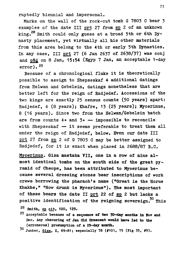**ruptedly biennial and impersonal.** 

**Marks on the wall of the rock-cut tomb G 7803 C bear 3**  examples of the date III prt 27 from sp 2 of an unknown **king. Smith could only guess at a broad 5th or 6th Dynasty placement, yet virtually all his other materials from this area belong to the 4th or early 5th Dynasties. In any case, III prt 27 (6 Jan 2637 of 2638/37) was conj**  and psd on 8 Jan, 15:54 (Egyp 7 Jan, an acceptable 1-day **error).<sup>2</sup> <sup>9</sup>**

**Because of a chronological fluke it is theoretically possible to assign to Shepseskaf 4 additional datings from Helwan and Gebelein, datings nonetheless that are better left for the reign of Radjedef. Accessions of the two kings are exactly 25 census counts (50 years) apart: Radjedef, 4 (8 years); Khafre, 13 (25 years); Mycerinus, 8 (16 years). Since two from the Helwan/Gebelein batch are from counts 4+ and 3+ — impossible to reconcile with Shepseskaf — it seems preferable to treat them all under the reign of Radjedef, below. Even our date III prt 27 from sp\_ 2 of G 7803 C may be better assigned to Radjedef, for it is exact when placed in 2688/87 B.C.** 

**Mycerinus. Giza mastaba 711, one in a row of nine almost identical tombs on the south side of the great pyramid of Cheops, has been attributed to Mycerinus because several dressing stones bear inscriptions of work crews borrowing the pharaoh's name ("Great is the Horus Khakhe," "How drunk is Mycerinus"). The most important**  of these bears the date II prt 22 of sp 2 but lacks a **positive identification of the reigning sovereign.50 This** 

**<sup>2</sup> <sup>8</sup> Smith, op\_ cit, 120, 129.** 

**<sup>2</sup> <sup>9</sup> Acceptable because of a sequenoe** *ot* **two 30—day months in** HOT **and Dec. Any obscuring of Jan Old Orescent would have lad to the (erroneous) prosumption of a 29-day momth.** 

**<sup>3</sup> <sup>0</sup> Junker, Giza. X, 69-81; especially 78 (#10), 75 (Pig 35, #9).**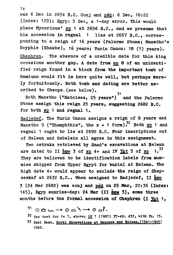was 6 Dec in 2654 B.C. Conj and psd: 6 Dec, 10:22 **(Index: 129); Egyp: 5 Dec, a 1-day error. This would place Mycerinus' sp\_ 1 at 2656 B.C., and we presume that his accession in regnal 1 lies at 2657 B.C., corresponding to a reign of 16 years (Palermo Stone; Manetho's Soyphis (Khakhe), 16 years; Turin Canon: 18 (?) years). Chephren. The absence of a credible date for this king occasions another gap. A date from sp 8 of an unidentified reign found in a block from the important tomb of Hemiunu would fit in here quite well, but perhaps merely fortuitously. Both tomb and dating are better ascribed to Cheops.(see below).** 

Both Manetho ("Ratoises, 25 years") and the Palermo **Both Manetho ("Ratoises, 25 years") and the Palermo Stone assign this reign 25 years, suggesting 2682 B.C. for both sp\_ 1 and regnal 1.** 

**Radjedef. The Turin Canon assigns a reign of 8 years and**  *•TO*  **Manetho 9 ("Thamphthis", the x + 1 form). Both s£ 1 and regnal 1 ought to lie at 2690 B.C. Pour inscriptions out of Helwan and Gebelein all agree in this assignment.** 

**Two ostraka retrieved by Saad's excavations at Helwan**  are dated to II smw 3 of sp 4+ and IV  $\frac{3pt}{100}$  5 of sp 1.<sup>33</sup> They are believed to be identification labels from mummies shipped from Upper Egypt for burial at Helwan. The high date 4+ would appear to exclude the reign of Shepseskaf at 2632 B.C.. When assigned to Radjedef. II smw **seskaf at 2632 B.C.. When assigned to Radjedef, II smw 3 (24 Mar 2682) was oonj and psd on 25 Mar, 20:36 (Index:**  145), Egyp sunrise-day: 24 Mar (II smw 3), some three **months before the formal accession of Chephren (I 3ht 1,** 

 $31 \circ \theta$  in  $\rightarrow \theta$  o  $\rightarrow \theta$  of.

**<sup>3</sup> <sup>2</sup> See text for fn 7, above; DE 7 (1987) 37-49: 43f, with fn. 15.**  33 Zaki Saad, Royal Excavations at Saqqara and Helwan, (1941-1945) **106f.** 

**74**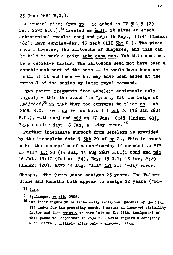**25 June 2682 B.C.).** 

**A crucial piece from sp. 1 is dated to IT 3ht 5 (29**  Sept 2690 B.C.).<sup>34</sup> Treated as smdt. it gives an exact **astronomical result: conj and pad: 16 Sept, 13:44 (Index: 162); Egyp Bunrise-dayt 15 Sept (III 3ht 21). The piece shows, however, the cartouche of Ohephren, and this can**  be held to mark a reign ante quem non. Yet this need not **be a decisive factor. The cartouche need not have been a constituent part of the date — it would have been unusual if it had been — but may have been added at the removal of the bodies by later royal command.** 

**Two papyri fragments from Gebelein assignable only vaguely within the broad 4th Dynasty fit the reign of Radjedef , <sup>3</sup> <sup>5</sup> in that they too converge to place sp 1 at 2690 B.C. Prom sp. 3+ we have III prt 26 (16 Jan 2684 B.C.), with conj and psd on 17 Jan» 10:4 5 (Index: 98) , Egyp sunrise-day: 16 Jan, a 1-day error.<sup>3</sup> <sup>6</sup>**

**Further indecisive support from Gebelein is provided**  by the incomplete date ? 3ht 20 of sp 2+. This is exact **under the assumption of a sunrise-day if emended to "I" or "II" 3£t 20 (15 Jul, 1 4 Aug 2687 B.C.); conj and psd 16 Jul, 19:17 (Index: 154), Egyp 15 Jul; 15 Aug, 8:29**  (Index: 128), Egyp 14 Aug. "III" 3ht 20: 1-day error.

**Cheops. The Turin Canon assigns 23 years. The Palermo Stone and Manetho both appear to assign 22 years ("Bi-**

- **34 idem.**
- **'5 spallnger, o£ alt. 290f.**
- **36 The index figure 98 is technically ambiguous. Because of the high 271 index for the preceding month, I assume an improved visibility**  factor and take padntiw to have lain on the 17th. Assignment of **this piece to Shepseskaf in 2634 B.C. would require a coregency with Userkaf, unlikely after only a six-year reign.**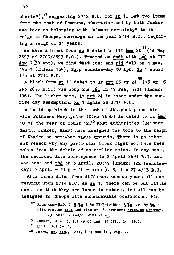**cheris"),<sup>3</sup> <sup>7</sup> suggesting 2712 B.C. for sp\_ 1. But two items from the tomb of Hemiunu, characterized by both Junker and Baer as belonging with "almost certainty" to the reign of Cheops, converge on the year 2714 B.C., requiring a reign of 24 years.** 

We have a block from sp 8 dated to III  $\frac{3}{20}$  (14 May 2699 of 2700/2699 B.C.). Treated as smdt with psd at III  $\sin w$  6 (30 Apr), we find that conj and psd fell on 1 May, **smw 6 (30 Apr), we find that conj and psd fell on 1 May, 19:51 (Index: 169), Egyp sunrise-day 30 Apr. Sp. 1 would** 

**lie at 2714 B.C. 39,**  Feb 2695 B.C.) was conj and psd on 17 Feb, 5:01 (Index: 106). The higher date, IV prt 24 is exact under the sunrise day assumption. Sp 1 again is 2714 B.C.

A building block in the tomb of Akhtyhetep and his wife Princess Merytyetes (Giza 7650) is dated to II Šmw 10 of the year of count 12.<sup>40</sup> Most authorities (Reisner Smith, Junker, Baer) have assigned the tomb to the reign of Khafre on somewhat vague grounds. There is no inherent reason why any particular block might not have been taken from the debris of an earlier reign. In any case, the recorded date corresponds to 2 April 2691 B.C. and was conj and psd on 3 April, 20:49 (Index: 122 (sunriseday: 3 April - II **smw** 10 - exact). Sp 1 = 2714/13 B.C.

With three dates from different census years all converging upon 2714 B.C. as sp 1, there can be but little question that they are lunar in nature. And all can be assigned to Cheops with considerable confidence. His

- <sup>37</sup> From Hmnw Hwfw (  $\frac{1}{2}$  ) to B3 Hwfw Re (  $\frac{1}{2}$  ) or  $\frac{1}{2}$  ), with routine faux addition of Re.Gardiner: Egyptian Grammar, 528: W9; 501: R7 and/or W10\* et aq.
- **528: W9; 501: R7 and/or W10» et ao\_. 38 Junker, Giza, I, 161 (#10) and 159 (Fig. 24, #10).**
- **<sup>3</sup> <sup>9</sup> Ibid.. 161 (#12),**

**4° Smith, 0£. oit., 127f, #11; and 119, Pig. 7.**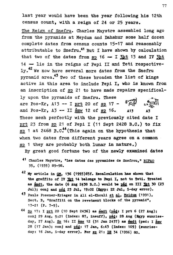**last year would have been the year following his 12th census count, with a reign of 24 or 25 years.** 

**The Reign of Snefru. Charles Maystre assembled long ago from the pyramids at Meydum and Dahshur some half dozen complete dates from census counts 15-17 and reasonably**  attributable to Snefru.<sup>41</sup> But I have shown by calculation **that two of the dates from sp. 16 — I 3ht 13 and IV 3ht 14 — lie in the reigns of Pepi II and Teti respective-**1v.<sup>42</sup> We now have several more dates from the Snefru pyramid area.<sup>43</sup> Two of these broaden the list of kings active in this area to include Pepi I. who is known from an inscription of sp 21 to have made repairs specifically upon the pyramids of Snefru. These are  $\frac{p_{0} - p_{r}}{m}$  113 = T prt 20 of an 17 =  $\frac{p_{r}}{m}$ and Pos-Kr, A3 -- II <u>smw</u> 12 of sp 16. **<sup>S</sup> S , <sup>T</sup>** \*<sup>3</sup>  $\frac{1}{2}$ <br> $\frac{1}{2}$ These mesh perfectly with the previously cited date I prt 23 from sp 21 of Pepi I (11 Sept 2428 B.C.) to fix  $pp$  1 at 2468  $p.c.$ <sup>44</sup> (This again on the hypothesis that when two dates from different years agree on a common sp 1 they are probably both lunar in nature.)

By great good fortune two of the newly examined dates **By great good fortune two of the newly examined dates** 

- **41 Charles Maystre, "Les dates des pyramides de Snefrou," BIPAO 35, (1935) 89-98.**
- **<sup>4</sup> <sup>2</sup> My article in gg, 136 (1993)65f. Recalculation has shown that the graffito of IT 3at 14 belongs to Pepi I, not to Teti. Treated**  as smdt, the date (6 Aug 2438 B.C.) would be pad on III 3ht 30 (23 Jul); conj and psd 23 Jul, 19:02 (Egyp: 22 Jul, 1-day error).
- **Paule Poaener-Krieger in All el-Khouli et al, Meidum (1991), Sect. B, "Graffiti on the revetment blocks of the pyramid", 17-21 (P. 7-9).**
- **<sup>4</sup> <sup>4</sup> Sp\_ 17: I prt 20 (10 Sept 2436) as smdt (psd: I prt 6 (27 Aug);**  conj 29 Aug, 5:21 (Index: 87, insuff), pád: 28 Aug (Egyp sunriseday, 27 Aug). Sp 16: II smw 12 (31 Jan 2437) as smdt (psd: I smw **28 (17 Jan); eonj and pj£: 17 Jan, 6:43 (Index: 109) (sunriseday: 16 Jan, i-day error). Por sp. 21: DE 34 (1996) 80.**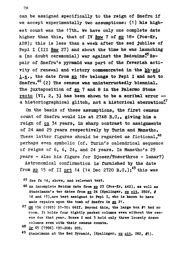**can be assigned specifically to the reign of Snefru if we accept experimentally two assumptions: (1) his highest count was the 17th. We have only one complete date**  higher than this, that of IV smw 7 of sp 18+ (Pos-Kr, **A28); this is less than a week after the sed jubilee of Pepi I (III Smw 27) and about the time he was launching**  a (no doubt ceremonial) war against the Bedouins<sup>\$5</sup> Re**pair of Snefru's pyramid was part of the feverish acti**vity of renewal and victory commemorated in the hb·sd; **i.e., the date from BP 18+ belongs to Pepi I and not to**  Snefru.<sup>46</sup> (2) The census was uninterruotedly biennial. **The juxtaposition of ap 7 and 8 in the Palermo Stone recto (VI, 2, 3) has been shown to be a scribal error a historiographical glitch, not a historical aberration!** 

**On the basis of these assumptions, the first census**  count of Snefru would lie at 2748 B.C., giving him a **reign of ca 34 years, in sharp contrast to assignments of 24 and 29 years respectively by Turin and Manetho. These latter figures should be regarded as fictional,<sup>48</sup> perhaps even symbolic (cf. Turin's calendrical sequence of reigns of 6, 6, 24, and 24 years. Is Manetho's 29 years - also his figure for Djoser/Tosorthros - lunar?)** 

**Astronomical confirmation is furnished by the date from s£ 15 of II prt 14 (14 Dec 2720 B.C.);<sup>4</sup> <sup>9</sup> this was** 

- **45 see fn 14, above, and relevant text.**
- **46 in incomplete Meidum date from sp\_ 23 (Pos-Kr, A42), as well as Stadelmann's two dates from ap\_ 24 (Spalinger,** *ov* **olt. 282f, # 16 and 17),are best assigned to Pepi I, who is known to have**  made repairs upon the tomb of Snefru in sp 21.
- **47 GM 136 (1993) 57-70: 66ff. Beyond this, the large box #1 had no room. It holds four tightly packed columns even without the census due that year. Boxes 2 and 3 hold only three loosely drawn columns even with their census counts.**
- **<sup>4</sup> <sup>8</sup> Or 65 (1996) 197-208: 205.**
- <sup>49</sup> Stadelmann at the Red Pyramid, (Spalinger, op cit, 282, #5).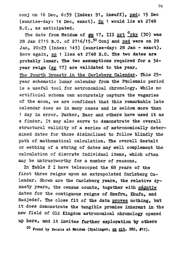**conj on 16 Dec, 6:39 (Index: 91, insuff), psd: 15 Dec (sunrise-day: 14 Dec, exact). Sp. 1 would lie at 2748 B.C., as anticipated.** 

**28 Jan 2715 B.C. of 27 1 6/15.50 Conj and psd were on 29 Jan, 20:23 (Index: 143) (sunrise-day: 28 Jan - exact).**  Here again, sp 1 lies at 2748 B.C. The two dates are **probably lunar. The two assumptions required for a 34 year reign (sp\_ 17) are validated to the year. The Fourth Dynasty in the Carlsberg Calendar. This 25 year schematic lunar calendar from the Ptolemaic period is a useful tool for astronomical chronology. While no artificial schema can accurately capture the vagaries of the moon, we are confident that this remarkable late calendar does so in many cases and is seldom more than 1 day in error. Parker, Baer and others have used it as a finder. It may also serve to demonstrate the overall structural validity of a series of astronomically determined dates for those disinclined to follow blindly the path of mathematical calculation. The overall Gestalt or webbing of a string of dates may well complement the calculation of discrete individual items, which often may be untrustworthy for a number of reasons.**  The date from Meidum of sp 17, III prt <sup>C</sup>rky (30) was

**In Table 2 I have telescoped the 68 years of the first three reigns upon an extrapolated Carlsberg Calendar. Shown are the Carlsberg years, the relative dynasty years, the census counts, together with psdntiw dates for the contiguous reigns of Snefru, Khufu, and Radjedef. The close fit of the data proves nothing, but it does demonstrate the tangible promise inherent in the new field of Old Kingdom astronomical chronology opened up here, and it invites further exploration by others** 

**<sup>5</sup> <sup>0</sup> Pound by Petrie at Meidum (Spalinger, 0£ olt. 282, #15).**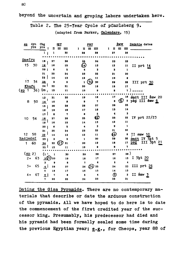**beyond the uncertain and groping labors undertaken here.** 

**Table 2. The 25-Tear Cycle of pCarlsberg 9.** 

**(adapted from Parker, Calendars. 15)** 

|               | SP.                                       | dyn | CDg             |              | <u>IHT</u>                |                         |              |                      | PRT                       |    |                         |       | <b>SMW</b> |                  | <u>Psdntiw</u> dates     |
|---------------|-------------------------------------------|-----|-----------------|--------------|---------------------------|-------------------------|--------------|----------------------|---------------------------|----|-------------------------|-------|------------|------------------|--------------------------|
|               |                                           | yrs | $J^{TS}$        |              | $\mathbf{u}$ $\mathbf{m}$ | $\mathbf{m}$            | $\mathbf{I}$ |                      | $\mathbf{u}$ $\mathbf{m}$ | m  | 1<br>п                  | - 111 |            | m                |                          |
|               |                                           |     | 1 <sub>1</sub>  | 1            |                           | 30                      |              | 29                   |                           | 28 | 27                      |       |            | 26               |                          |
|               | Snefru                                    |     |                 |              |                           |                         |              |                      |                           |    |                         |       |            |                  |                          |
|               |                                           |     | 18              | 27           |                           | 26                      |              | 25                   |                           | 24 | 23                      |       |            | 22               |                          |
|               | 15                                        | 30  | 19              | 16           |                           | 15                      |              | ⓒ                    |                           | 13 | 12                      |       |            | $\mathbf{11}$    | II prt 14                |
|               |                                           |     | 20 <sub>1</sub> | 6            |                           | 5                       |              | $\blacktriangleleft$ |                           | 3  | $\overline{\mathbf{z}}$ |       |            | 1                |                          |
|               |                                           |     | 21              | 25           |                           | 24                      |              | 23                   |                           | 22 | 21                      |       |            | 20               |                          |
|               |                                           |     | 22              | 14           |                           | 13                      |              | 12                   |                           | 11 | 10                      |       |            | ٠                |                          |
|               | 17                                        | 34  | 23              | з            |                           | 2                       |              | 1                    | 30                        | 30 | 29                      |       |            | 28               | III prt 30               |
|               | Khufu                                     |     | ا 24            | 22           |                           | 21                      |              | 20                   |                           | 19 | 18                      |       |            | 17               |                          |
| $\sqrt{3p}$ 1 |                                           | 36) | (25)            | 12           |                           | 11                      |              | 10                   |                           | 9  | 8                       |       |            | 7                |                          |
|               |                                           |     |                 |              |                           | 20                      |              | 19                   |                           | 18 | 17                      |       |            | 16               | smdt III smw 20          |
|               | 8                                         | 50  | 13              | 21<br>10     |                           | 9                       |              | 8                    |                           | 7  | 6                       |       | (6)        | $\,$ s           | pád III smw 6            |
|               |                                           |     | <u>14</u><br>15 | 30           |                           | 29                      |              | 28                   |                           | 27 | 26                      |       |            | 25               |                          |
|               |                                           |     | 16              | 19           |                           | 18                      |              | 17                   |                           | 16 | 15                      |       |            | $\overline{14}$  |                          |
|               |                                           |     | 17              | 8            |                           | 7                       |              | 6                    |                           | -5 | $\ddot{\bullet}$        |       |            | 3                |                          |
|               |                                           |     |                 | 27           |                           |                         |              | 25                   |                           | 绞  | 23                      |       |            | 22               | IV prt 22/23             |
|               | 10                                        | 54  | 18<br>19        | 16           |                           | 26<br>15                |              | 14                   |                           | 13 | 12                      |       |            | 11               |                          |
|               |                                           |     |                 | 6            |                           | 5                       |              | 4                    |                           | 3  | $\overline{\mathbf{z}}$ |       |            | $\mathbf{1}$     |                          |
|               |                                           |     | 20<br>21        | 25           |                           | 24                      |              | 23                   |                           | 22 | 21                      |       |            | 20               |                          |
|               | 12                                        | 58  | $\overline{22}$ | 14           |                           | 13                      |              | 12                   |                           | 11 | ◉                       |       |            | 9                | II smw 10                |
|               | Radjedef                                  |     | 25              | 3            |                           | $\overline{\mathbf{z}}$ |              | 1                    |                           | 30 | 29                      |       |            | 28               | smdt IV 3ht 5            |
|               | 1                                         | 60  | 24              | 22           | (21)                      | 21                      |              | 20                   |                           | 19 | 18                      |       |            | 17               | $III$ $3ht$ $21$<br>psd  |
|               |                                           |     | 25 <sup>1</sup> | 12           |                           | 11                      |              | 10                   |                           | 9  | 8                       |       |            | 7                |                          |
|               |                                           |     |                 |              |                           |                         |              |                      |                           |    |                         |       |            |                  |                          |
|               | $\left(\underline{\mathsf{sp}}\ 2\right)$ |     | (1)             | 1            |                           | 30                      |              | 29                   |                           | 28 | 27                      |       |            | 28)              |                          |
|               | $2+$                                      | 63  |                 | <u>2@</u> 20 |                           | 19                      |              | 18                   |                           | 17 | 16                      |       |            | 15               | $I$ 3ht $\underline{20}$ |
|               |                                           |     | з               | 9            |                           | 8                       |              | 7                    |                           | 6  | 5                       |       |            | $\ddot{\bullet}$ |                          |
|               | $3+$                                      | 65  | $\overline{4}$  | 28           |                           | 27                      |              | 26                   | (26)                      | 25 | 24                      |       |            | 23               | III prt $\frac{26}{2}$   |
|               |                                           |     | 5               | 18           |                           | 17                      |              | 16                   |                           | 15 | 14                      |       |            | 13               |                          |
|               | $4+$                                      | 67  | $\epsilon$      | 7            |                           | 6                       |              | 5                    |                           | 4  | ⊚                       |       |            | $\mathbf 2$      | II smw $\frac{3}{4}$     |
|               |                                           |     | 7               | 26           |                           | 25                      |              | 24                   |                           | 23 | 22                      |       |            | 21               |                          |

**Dating the Giza Pyramids. There are no contemporary materials that describe or date the arduous construction of the pyramids. All we have hoped to do here is to date the commencement of the first credited year of the successor king. Presumably, his predecessor had died and his pyramid had been formally sealed some time during the previous Egyptian year; e.g., for Cheops, year 88 of**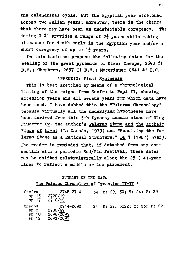**the calendxical cycle. But the Egyptian year stretched across two Julian years; moreover, there is the chance that there may have been an undetectable coregency. The**  dating X<sup>+</sup>1 provides a range of 2<sup>}</sup> years while making **allowance for death early in the Egyptian year and/or a**  short coregency of up to 1<sup>1</sup> years.

**On this basis we propose the following dates for the sealing of the great pyramids of Giza: Cheops, 2690 ±1 B.C.; Chephren, 2657 ¿1 B.C.; Mycerinus: 2641 ±1 B.C.** 

# **APPENDIX: Final Synthesis**

**This is best sketched by means of a chronological**  listing of the reigns from Snefru to Pepi II, showing **accession years and all census years for which data have been used. I have dubbed this the "Palermo Chronology" because virtually all the underlying hypotheses have been derived from this 5th Dynasty annals stone of King Niuserre (v. the author's Palermo Stone and the Archaic Kings of Egypt (La Canada, 1979) and "Resolving the Palermo Stone as a Rational Structure," DE 7 (1987) 37ff).**  The reader is reminded that, if detached from any con**nection with a periodic Sed/Min festival, these dates may be shifted relativistically along the 25 (14)-year lines to reflect a middle or low placement.** 

# **SUMMARY OP THE DATA**

|  | The Palermo Chronology of Dynasties IV-VI * |  |  |
|--|---------------------------------------------|--|--|
|  |                                             |  |  |

| Snefru<br>$SD$ 15<br>sp <sub>17</sub> | 2748-2714<br>2720/19<br>$27\sqrt{6}/15$        |  | 34 M: 29, 30; T: 24: P: 29   |
|---------------------------------------|------------------------------------------------|--|------------------------------|
| Cheops<br>$8p$ 8<br>sp 10<br>$3p$ 12  | 2714-2690<br>2700/99<br>2696/2695<br>2692/2697 |  | 24 M: 22, 3x22; T: 23; P: 22 |